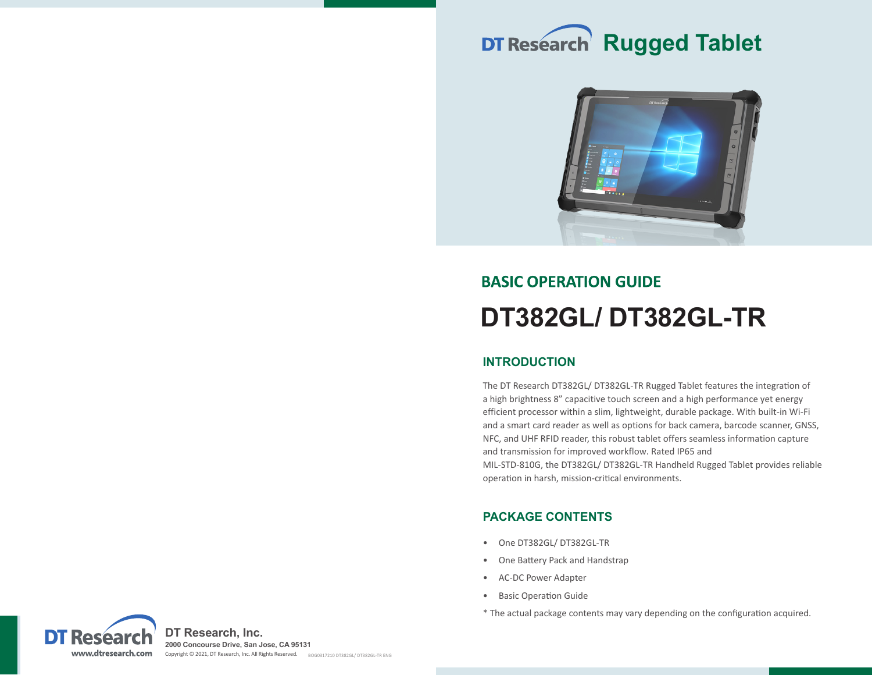



# **BASIC OPERATION GUIDE DT382GL/ DT382GL-TR**

# **INTRODUCTION**

The DT Research DT382GL/ DT382GL-TR Rugged Tablet features the integration of a high brightness 8" capacitive touch screen and a high performance yet energy efficient processor within a slim, lightweight, durable package. With built-in Wi-Fi and a smart card reader as well as options for back camera, barcode scanner, GNSS, NFC, and UHF RFID reader, this robust tablet offers seamless information capture and transmission for improved workflow. Rated IP65 and MIL-STD-810G, the DT382GL/ DT382GL-TR Handheld Rugged Tablet provides reliable

operation in harsh, mission-critical environments.

# **PACKAGE CONTENTS**

- One DT382GL/ DT382GL-TR
- One Battery Pack and Handstrap
- AC-DC Power Adapter
- Basic Operation Guide
- \* The actual package contents may vary depending on the configuration acquired.

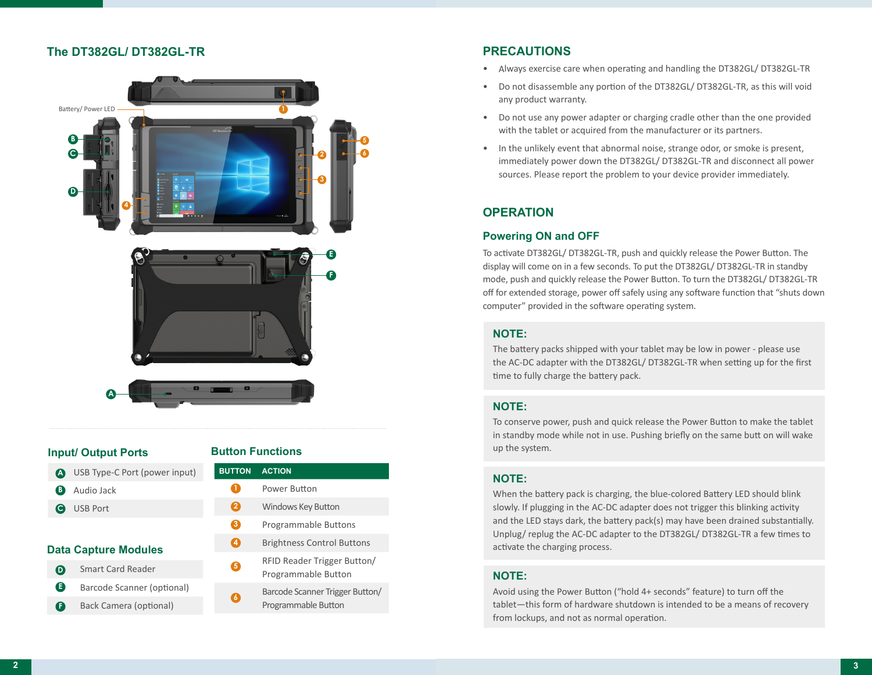# **The DT382GL/ DT382GL-TR**



#### **Input/ Output Ports**

USB Type-C Port (power input) **A** Audio Jack **B** USB Port **C**

#### **Data Capture Modules**

- Smart Card Reader Barcode Scanner (optional) **D E**
- Back Camera (optional) **F**

#### **Button Functions**

- **BUTTON ACTION** Power Button Windows Key Button Programmable Buttons Brightness Control Buttons RFID Reader Trigger Button/  $\mathbf 0$ **4 2 5 3**
	- Programmable Button
	- Barcode Scanner Trigger Button/ Programmable Button **6**

# **PRECAUTIONS**

- Always exercise care when operating and handling the DT382GL/ DT382GL-TR
- Do not disassemble any portion of the DT382GL/ DT382GL-TR, as this will void any product warranty.
- Do not use any power adapter or charging cradle other than the one provided with the tablet or acquired from the manufacturer or its partners.
- In the unlikely event that abnormal noise, strange odor, or smoke is present, immediately power down the DT382GL/ DT382GL-TR and disconnect all power sources. Please report the problem to your device provider immediately.

# **OPERATION**

## **Powering ON and OFF**

To activate DT382GL/ DT382GL-TR, push and quickly release the Power Button. The display will come on in a few seconds. To put the DT382GL/ DT382GL-TR in standby mode, push and quickly release the Power Button. To turn the DT382GL/ DT382GL-TR off for extended storage, power off safely using any software function that "shuts down computer" provided in the software operating system.

## **NOTE:**

The battery packs shipped with your tablet may be low in power - please use the AC-DC adapter with the DT382GL/ DT382GL-TR when setting up for the first time to fully charge the battery pack.

### **NOTE:**

To conserve power, push and quick release the Power Button to make the tablet in standby mode while not in use. Pushing briefly on the same butt on will wake up the system.

### **NOTE:**

**3** Unplug/ replug the AC-DC adapter to the DT382GL/ DT382GL-TR a few times to When the battery pack is charging, the blue-colored Battery LED should blink slowly. If plugging in the AC-DC adapter does not trigger this blinking activity and the LED stays dark, the battery pack(s) may have been drained substantially. activate the charging process.

### **NOTE:**

Avoid using the Power Button ("hold 4+ seconds" feature) to turn off the tablet—this form of hardware shutdown is intended to be a means of recovery from lockups, and not as normal operation.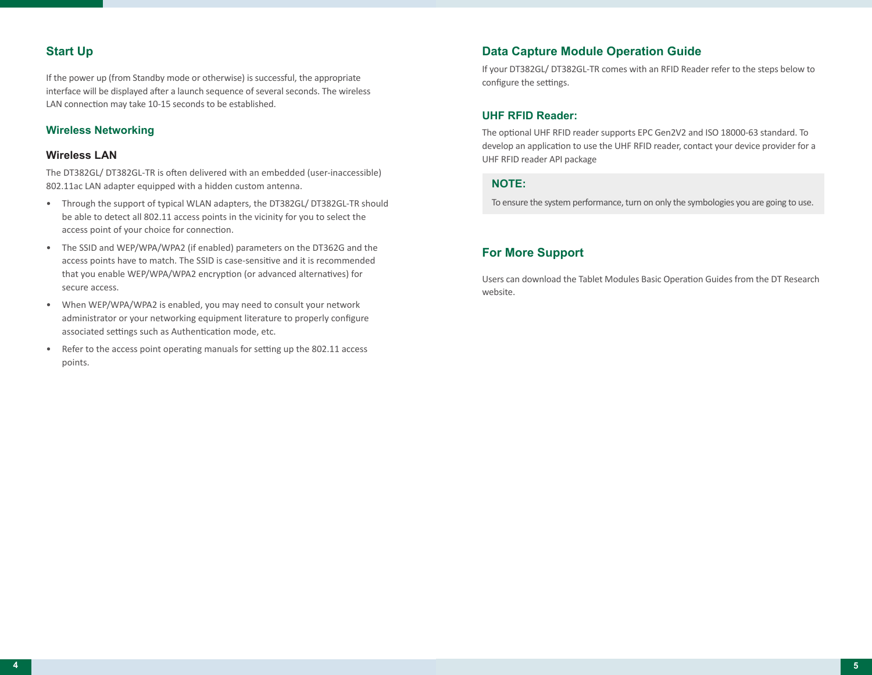# **Start Up**

If the power up (from Standby mode or otherwise) is successful, the appropriate interface will be displayed after a launch sequence of several seconds. The wireless LAN connection may take 10-15 seconds to be established.

## **Wireless Networking**

#### **Wireless LAN**

The DT382GL/ DT382GL-TR is often delivered with an embedded (user-inaccessible) 802.11ac LAN adapter equipped with a hidden custom antenna.

- Through the support of typical WLAN adapters, the DT382GL/ DT382GL-TR should be able to detect all 802.11 access points in the vicinity for you to select the access point of your choice for connection.
- The SSID and WEP/WPA/WPA2 (if enabled) parameters on the DT362G and the access points have to match. The SSID is case-sensitive and it is recommended that you enable WEP/WPA/WPA2 encryption (or advanced alternatives) for secure access.
- When WEP/WPA/WPA2 is enabled, you may need to consult your network administrator or your networking equipment literature to properly configure associated settings such as Authentication mode, etc.
- Refer to the access point operating manuals for setting up the 802.11 access points.

## **Data Capture Module Operation Guide**

If your DT382GL/ DT382GL-TR comes with an RFID Reader refer to the steps below to configure the settings.

#### **UHF RFID Reader:**

The optional UHF RFID reader supports EPC Gen2V2 and ISO 18000-63 standard. To develop an application to use the UHF RFID reader, contact your device provider for a UHF RFID reader API package

#### **NOTE:**

To ensure the system performance, turn on only the symbologies you are going to use.

## **For More Support**

Users can download the Tablet Modules Basic Operation Guides from the DT Research website.